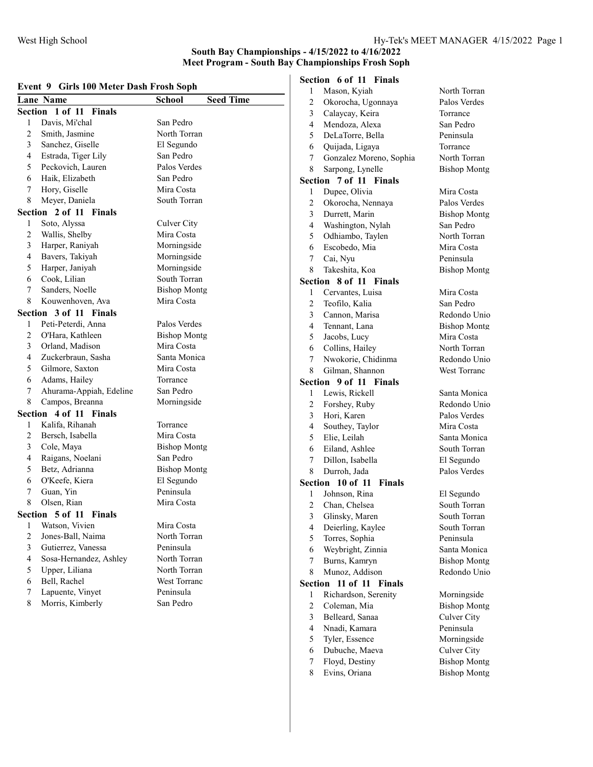#### South Bay Championships - 4/15/2022 to 4/16/2022 Meet Program - South Bay Championships Frosh Soph

#### Event 9 Girls 100 Meter Dash Frosh Soph

|                         | Lane Name                        | School<br><b>Seed Time</b> |
|-------------------------|----------------------------------|----------------------------|
|                         | Section 1 of 11 Finals           |                            |
| 1                       | Davis, Mi'chal                   | San Pedro                  |
| $\overline{c}$          | Smith, Jasmine                   | North Torran               |
| 3                       | Sanchez, Giselle                 | El Segundo                 |
| 4                       | Estrada, Tiger Lily              | San Pedro                  |
| 5                       | Peckovich, Lauren                | Palos Verdes               |
| 6                       | Haik, Elizabeth                  | San Pedro                  |
| 7                       | Hory, Giselle                    | Mira Costa                 |
| 8                       | Meyer, Daniela                   | South Torran               |
|                         | Section 2 of 11 Finals           |                            |
| 1                       | Soto, Alyssa                     | Culver City                |
| $\overline{c}$          | Wallis, Shelby                   | Mira Costa                 |
| 3                       | Harper, Raniyah                  | Morningside                |
| 4                       | Bavers, Takiyah                  | Morningside                |
| 5                       | Harper, Janiyah                  | Morningside                |
| 6                       | Cook, Lilian                     | South Torran               |
| 7                       | Sanders, Noelle                  | <b>Bishop Montg</b>        |
| 8                       | Kouwenhoven, Ava                 | Mira Costa                 |
|                         | Section 3 of 11 Finals           |                            |
| 1                       | Peti-Peterdi, Anna               | Palos Verdes               |
| $\overline{2}$          | O'Hara, Kathleen                 | <b>Bishop Montg</b>        |
| 3                       | Orland, Madison                  | Mira Costa                 |
| 4                       | Zuckerbraun, Sasha               | Santa Monica               |
| 5                       | Gilmore, Saxton                  | Mira Costa                 |
| 6                       | Adams, Hailey                    | Torrance                   |
| 7                       | Ahurama-Appiah, Edeline          | San Pedro                  |
| 8                       | Campos, Breanna                  | Morningside                |
| Section                 | 4 of 11 Finals                   |                            |
| 1                       | Kalifa, Rihanah                  | Torrance                   |
| $\overline{c}$          | Bersch, Isabella                 | Mira Costa                 |
| 3                       | Cole, Maya                       | <b>Bishop Montg</b>        |
| $\overline{4}$          | Raigans, Noelani                 | San Pedro                  |
| 5                       | Betz, Adrianna                   | <b>Bishop Montg</b>        |
| 6                       | O'Keefe, Kiera                   | El Segundo                 |
| 7                       | Guan, Yin                        | Peninsula                  |
| 8                       | Olsen, Rian                      | Mira Costa                 |
|                         | Section 5 of 11<br><b>Finals</b> |                            |
| 1                       | Watson, Vivien                   | Mira Costa                 |
| $\sqrt{2}$              | Jones-Ball, Naima                | North Torran               |
| $\overline{\mathbf{3}}$ | Gutierrez, Vanessa               | Peninsula                  |
| $\overline{4}$          | Sosa-Hernandez, Ashley           | North Torran               |
| 5                       | Upper, Liliana                   | North Torran               |
| 6                       | Bell, Rachel                     | West Torranc               |
| 7                       | Lapuente, Vinyet                 | Peninsula                  |
| 8                       | Morris, Kimberly                 | San Pedro                  |
|                         |                                  |                            |

| <b>Section 6 of 11 Finals</b> |             |  |
|-------------------------------|-------------|--|
|                               | Mason Kyiah |  |

| 1                       | Mason, Kyiah              | North Torran        |
|-------------------------|---------------------------|---------------------|
| $\overline{2}$          | Okorocha, Ugonnaya        | Palos Verdes        |
| 3                       | Calaycay, Keira           | Torrance            |
| 4                       | Mendoza, Alexa            | San Pedro           |
| 5                       | DeLaTorre, Bella          | Peninsula           |
| 6                       | Quijada, Ligaya           | Torrance            |
| 7                       | Gonzalez Moreno, Sophia   | North Torran        |
| 8                       | Sarpong, Lynelle          | <b>Bishop Montg</b> |
| Section                 | 7 of 11 Finals            |                     |
| 1                       | Dupee, Olivia             | Mira Costa          |
| $\overline{c}$          | Okorocha, Nennaya         | Palos Verdes        |
| $\overline{\mathbf{3}}$ | Durrett, Marin            | <b>Bishop Montg</b> |
| 4                       | Washington, Nylah         | San Pedro           |
| 5                       | Odhiambo, Taylen          | North Torran        |
| 6                       | Escobedo, Mia             | Mira Costa          |
| 7                       | Cai, Nyu                  | Peninsula           |
| 8                       | Takeshita, Koa            | <b>Bishop Montg</b> |
|                         | 8 of 11 Finals<br>Section |                     |
| 1                       | Cervantes, Luisa          | Mira Costa          |
| $\overline{c}$          | Teofilo, Kalia            | San Pedro           |
| $\overline{3}$          | Cannon, Marisa            | Redondo Unio        |
| 4                       | Tennant, Lana             | <b>Bishop Montg</b> |
| 5                       | Jacobs, Lucy              | Mira Costa          |
| 6                       | Collins, Hailey           | North Torran        |
| 7                       | Nwokorie, Chidinma        | Redondo Unio        |
| 8                       | Gilman, Shannon           | <b>West Torranc</b> |
|                         | Section 9 of 11 Finals    |                     |
| 1                       | Lewis, Rickell            | Santa Monica        |
| $\overline{c}$          | Forshey, Ruby             | Redondo Unio        |
| $\overline{3}$          | Hori, Karen               | Palos Verdes        |
| $\overline{4}$          | Southey, Taylor           | Mira Costa          |
| 5                       | Elie, Leilah              | Santa Monica        |
| 6                       | Eiland, Ashlee            | South Torran        |
| 7                       | Dillon, Isabella          | El Segundo          |
| 8                       | Durroh, Jada              | Palos Verdes        |
| Section                 | 10 of 11 Finals           |                     |
| 1                       | Johnson, Rina             | El Segundo          |
| $\overline{2}$          | Chan, Chelsea             | South Torran        |
| 3                       | Glinsky, Maren            | South Torran        |
| 4                       | Deierling, Kaylee         | South Torran        |
| 5                       | Torres, Sophia            | Peninsula           |
| 6                       | Weybright, Zinnia         | Santa Monica        |
| 7                       | Burns, Kamryn             | <b>Bishop Montg</b> |
| 8                       | Munoz, Addison            | Redondo Unio        |
| Section                 | 11 of 11<br>Finals        |                     |
| 1                       | Richardson, Serenity      | Morningside         |
| $\overline{c}$          | Coleman, Mia              | <b>Bishop Montg</b> |
| 3                       | Belleard, Sanaa           | Culver City         |
| 4                       | Nnadi, Kamara             | Peninsula           |
| 5                       | Tyler, Essence            | Morningside         |
| 6                       | Dubuche, Maeva            | <b>Culver City</b>  |
| 7                       | Floyd, Destiny            | <b>Bishop Montg</b> |
| 8                       | Evins, Oriana             | <b>Bishop Montg</b> |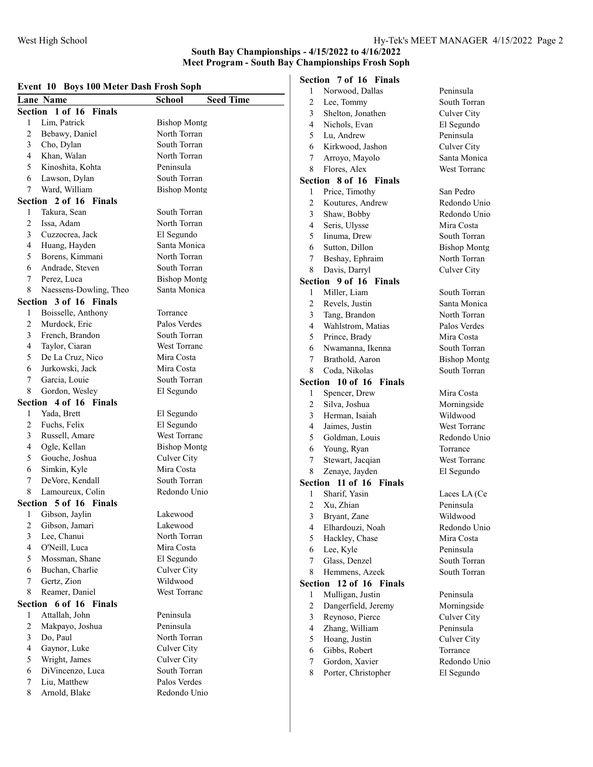#### South Bay Championships - 4/15/2022 to 4/16/2022 Meet Program - South Bay Championships Frosh Soph

#### Event 10 Boys 100 Meter Dash Frosh Soph

|                | EVENT TO DOYS TOO METER DASH FTOSH SOPH |                                   |  |
|----------------|-----------------------------------------|-----------------------------------|--|
|                | <b>Lane Name</b>                        | <b>Seed Time</b><br><b>School</b> |  |
|                | Section 1 of 16 Finals                  |                                   |  |
| 1              | Lim, Patrick                            | <b>Bishop Montg</b>               |  |
| 2              | Bebawy, Daniel                          | North Torran                      |  |
| 3              | Cho, Dylan                              | South Torran                      |  |
| 4              | Khan, Walan                             | North Torran                      |  |
| 5              | Kinoshita, Kohta                        | Peninsula                         |  |
| 6              | Lawson, Dylan                           | South Torran                      |  |
| 7              | Ward, William                           | <b>Bishop Montg</b>               |  |
|                | Section 2 of 16 Finals                  |                                   |  |
| 1              | Takura, Sean                            | South Torran                      |  |
| 2              | Issa, Adam                              | North Torran                      |  |
| 3              | Cuzzocrea, Jack                         | El Segundo                        |  |
| 4              | Huang, Hayden                           | Santa Monica                      |  |
| 5              | Borens, Kimmani                         | North Torran                      |  |
| 6              | Andrade, Steven                         | South Torran                      |  |
| 7              | Perez, Luca                             | <b>Bishop Montg</b>               |  |
| 8              | Naessens-Dowling, Theo                  | Santa Monica                      |  |
|                | Section 3 of 16 Finals                  |                                   |  |
| 1              | Boisselle, Anthony                      | Torrance                          |  |
| 2              | Murdock, Eric                           | Palos Verdes                      |  |
| 3              | French, Brandon                         | South Torran                      |  |
| 4              | Taylor, Ciaran                          | <b>West Torranc</b>               |  |
| 5              | De La Cruz, Nico                        | Mira Costa                        |  |
| 6              | Jurkowski, Jack                         | Mira Costa                        |  |
| 7              | Garcia, Louie                           | South Torran                      |  |
| 8              | Gordon, Wesley                          | El Segundo                        |  |
|                | Section<br>4 of 16 Finals               |                                   |  |
| 1              | Yada, Brett                             | El Segundo                        |  |
| 2              | Fuchs, Felix                            | El Segundo                        |  |
| 3              | Russell, Amare                          | <b>West Torranc</b>               |  |
| 4              | Ogle, Kellan                            | <b>Bishop Montg</b>               |  |
| 5              | Gouche, Joshua                          | Culver City                       |  |
| 6              | Simkin, Kyle                            | Mira Costa                        |  |
| 7              | DeVore, Kendall                         | South Torran                      |  |
| 8              | Lamoureux, Colin                        | Redondo Unio                      |  |
|                | 5 of 16 Finals<br>Section               |                                   |  |
| 1              | Gibson, Jaylin                          | Lakewood                          |  |
| 2              | Gibson, Jamari                          | Lakewood                          |  |
| 3              | Lee, Chanui                             | North Torran                      |  |
| 4              | O'Neill, Luca                           | Mira Costa                        |  |
| 5              | Mossman, Shane                          | El Segundo                        |  |
| 6              |                                         | Culver City                       |  |
|                | Buchan, Charlie                         |                                   |  |
| 7              | Gertz, Zion                             | Wildwood                          |  |
| 8              | Reamer, Daniel                          | <b>West Torranc</b>               |  |
| <b>Section</b> | 6 of 16 Finals                          |                                   |  |
| 1              | Attallah, John                          | Peninsula                         |  |
| 2              | Makpayo, Joshua                         | Peninsula                         |  |
| 3              | Do, Paul                                | North Torran                      |  |
| 4              | Gaynor, Luke                            | Culver City                       |  |
| 5              | Wright, James                           | Culver City                       |  |
| 6              | DiVincenzo, Luca                        | South Torran                      |  |
| 7              | Liu, Matthew                            | Palos Verdes                      |  |
| 8              | Arnold, Blake                           | Redondo Unio                      |  |
|                |                                         |                                   |  |

## Section 7 of 16 Finals

| 1              | Norwood, Dallas                  | Peninsula           |
|----------------|----------------------------------|---------------------|
| $\overline{2}$ | Lee, Tommy                       | South Torran        |
| 3              | Shelton, Jonathen                | Culver City         |
| 4              | Nichols, Evan                    | El Segundo          |
| 5              | Lu, Andrew                       | Peninsula           |
| 6              | Kirkwood, Jashon                 | Culver City         |
| 7              | Arroyo, Mayolo                   | Santa Monica        |
| 8              | Flores, Alex                     | <b>West Torranc</b> |
|                | Section 8 of 16<br><b>Finals</b> |                     |
| 1              | Price, Timothy                   | San Pedro           |
| $\overline{c}$ | Koutures, Andrew                 | Redondo Unio        |
| 3              | Shaw, Bobby                      | Redondo Unio        |
| 4 <sup>1</sup> | Seris, Ulysse                    | Mira Costa          |
| 5 <sup>5</sup> | Iinuma, Drew                     | South Torran        |
| 6              | Sutton, Dillon                   | <b>Bishop Montg</b> |
| 7              | Beshay, Ephraim                  | North Torran        |
| 8              | Davis, Darryl                    | <b>Culver City</b>  |
| Section        | 9 of 16 Finals                   |                     |
| 1              | Miller, Liam                     | South Torran        |
| $\overline{c}$ | Revels, Justin                   | Santa Monica        |
| 3              | Tang, Brandon                    | North Torran        |
| 4              | Wahlstrom, Matias                | Palos Verdes        |
| 5              | Prince, Brady                    | Mira Costa          |
| 6              | Nwamanna, Ikenna                 | South Torran        |
| 7              | Brathold, Aaron                  | <b>Bishop Montg</b> |
| 8              | Coda, Nikolas                    | South Torran        |
| Section        | 10 of 16 Finals                  |                     |
| 1              | Spencer, Drew                    | Mira Costa          |
| $\overline{c}$ | Silva, Joshua                    | Morningside         |
| $\overline{3}$ | Herman, Isaiah                   | Wildwood            |
| $\overline{4}$ | Jaimes, Justin                   | West Torranc        |
| 5              | Goldman, Louis                   | Redondo Unio        |
| 6              | Young, Ryan                      | Torrance            |
| 7              | Stewart, Jacqian                 | <b>West Torranc</b> |
| 8              | Zenaye, Jayden                   | El Segundo          |
|                | Section 11 of 16 Finals          |                     |
| 1              | Sharif, Yasin                    | Laces LA (Ce        |
| $\overline{c}$ | Xu, Zhian                        | Peninsula           |
| $\overline{3}$ | Bryant, Zane                     | Wildwood            |
| 4              | Elhardouzi, Noah                 | Redondo Unio        |
| 5              | Hackley, Chase                   | Mira Costa          |
| 6              | Lee, Kyle                        | Peninsula           |
| 7              | Glass, Denzel                    | South Torran        |
| 8              | Hemmens, Azeek                   | South Torran        |
| Section        | 12 of 16 Finals                  |                     |
| 1              | Mulligan, Justin                 | Peninsula           |
| $\overline{2}$ | Dangerfield, Jeremy              | Morningside         |
| 3              | Reynoso, Pierce                  | Culver City         |
| 4              | Zhang, William                   | Peninsula           |
| 5              | Hoang, Justin                    | <b>Culver City</b>  |
| 6              | Gibbs, Robert                    | Torrance            |
| 7              | Gordon, Xavier                   | Redondo Unio        |
| 8              | Porter, Christopher              | El Segundo          |
|                |                                  |                     |